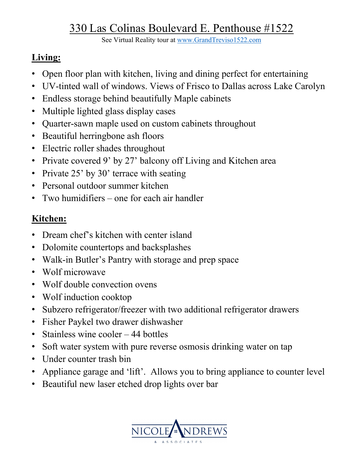# 330 Las Colinas Boulevard E. Penthouse #1522

See Virtual Reality tour at www.GrandTreviso1522.com

## **Living:**

- Open floor plan with kitchen, living and dining perfect for entertaining
- UV-tinted wall of windows. Views of Frisco to Dallas across Lake Carolyn
- Endless storage behind beautifully Maple cabinets
- Multiple lighted glass display cases
- Quarter-sawn maple used on custom cabinets throughout
- Beautiful herringbone ash floors
- Electric roller shades throughout
- Private covered 9' by 27' balcony off Living and Kitchen area
- Private 25' by 30' terrace with seating
- Personal outdoor summer kitchen
- Two humidifiers one for each air handler

## **Kitchen:**

- Dream chef's kitchen with center island
- Dolomite countertops and backsplashes
- Walk-in Butler's Pantry with storage and prep space
- Wolf microwave
- Wolf double convection ovens
- Wolf induction cooktop
- Subzero refrigerator/freezer with two additional refrigerator drawers
- Fisher Paykel two drawer dishwasher
- Stainless wine cooler 44 bottles
- Soft water system with pure reverse osmosis drinking water on tap
- Under counter trash bin
- Appliance garage and 'lift'. Allows you to bring appliance to counter level
- Beautiful new laser etched drop lights over bar

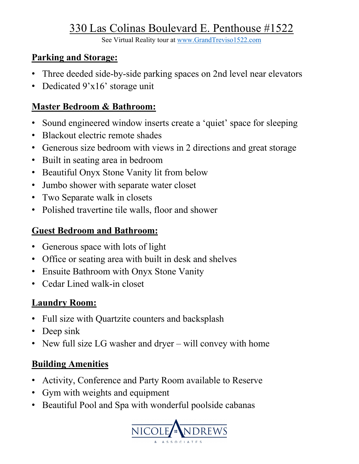# 330 Las Colinas Boulevard E. Penthouse #1522

See Virtual Reality tour at www.GrandTreviso1522.com

#### **Parking and Storage:**

- Three deeded side-by-side parking spaces on 2nd level near elevators
- Dedicated 9'x16' storage unit

#### **Master Bedroom & Bathroom:**

- Sound engineered window inserts create a 'quiet' space for sleeping
- Blackout electric remote shades
- Generous size bedroom with views in 2 directions and great storage
- Built in seating area in bedroom
- Beautiful Onyx Stone Vanity lit from below
- Jumbo shower with separate water closet
- Two Separate walk in closets
- Polished travertine tile walls, floor and shower

## **Guest Bedroom and Bathroom:**

- Generous space with lots of light
- Office or seating area with built in desk and shelves
- Ensuite Bathroom with Onyx Stone Vanity
- Cedar Lined walk-in closet

#### **Laundry Room:**

- Full size with Quartzite counters and backsplash
- Deep sink
- New full size LG washer and dryer will convey with home

#### **Building Amenities**

- Activity, Conference and Party Room available to Reserve
- Gym with weights and equipment
- Beautiful Pool and Spa with wonderful poolside cabanas